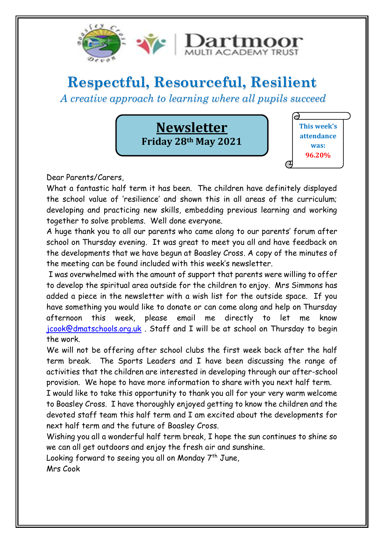

# **Respectful, Resourceful, Resilient**

*A creative approach to learning where all pupils succeed*

**Newsletter Friday 28th May 2021**



Dear Parents/Carers,

What a fantastic half term it has been. The children have definitely displayed the school value of 'resilience' and shown this in all areas of the curriculum; developing and practicing new skills, embedding previous learning and working together to solve problems. Well done everyone.

A huge thank you to all our parents who came along to our parents' forum after school on Thursday evening. It was great to meet you all and have feedback on the developments that we have begun at Boasley Cross. A copy of the minutes of the meeting can be found included with this week's newsletter.

I was overwhelmed with the amount of support that parents were willing to offer to develop the spiritual area outside for the children to enjoy. Mrs Simmons has added a piece in the newsletter with a wish list for the outside space. If you have something you would like to donate or can come along and help on Thursday afternoon this week, please email me directly to let me know [jcook@dmatschools.org.uk](mailto:jcook@dmatschools.org.uk) . Staff and I will be at school on Thursday to begin the work.

We will not be offering after school clubs the first week back after the half term break. The Sports Leaders and I have been discussing the range of activities that the children are interested in developing through our after-school provision. We hope to have more information to share with you next half term.

I would like to take this opportunity to thank you all for your very warm welcome to Boasley Cross. I have thoroughly enjoyed getting to know the children and the devoted staff team this half term and I am excited about the developments for next half term and the future of Boasley Cross.

Wishing you all a wonderful half term break, I hope the sun continues to shine so we can all get outdoors and enjoy the fresh air and sunshine.

Looking forward to seeing you all on Monday  $7<sup>th</sup>$  June,

Mrs Cook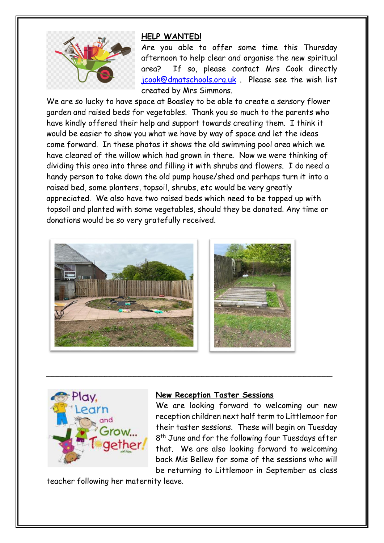

#### **HELP WANTED!**

Are you able to offer some time this Thursday afternoon to help clear and organise the new spiritual area? If so, please contact Mrs Cook directly [jcook@dmatschools.org.uk](mailto:jcook@dmatschools.org.uk) . Please see the wish list created by Mrs Simmons.

We are so lucky to have space at Boasley to be able to create a sensory flower garden and raised beds for vegetables. Thank you so much to the parents who have kindly offered their help and support towards creating them. I think it would be easier to show you what we have by way of space and let the ideas come forward. In these photos it shows the old swimming pool area which we have cleared of the willow which had grown in there. Now we were thinking of dividing this area into three and filling it with shrubs and flowers. I do need a handy person to take down the old pump house/shed and perhaps turn it into a raised bed, some planters, topsoil, shrubs, etc would be very greatly appreciated. We also have two raised beds which need to be topped up with topsoil and planted with some vegetables, should they be donated. Any time or donations would be so very gratefully received.





#### **New Reception Taster Sessions**

\_\_\_\_\_\_\_\_\_\_\_\_\_\_\_\_\_\_\_\_\_\_\_\_\_\_\_\_\_\_\_\_\_\_\_\_\_\_\_\_\_\_\_\_\_\_\_\_\_\_\_\_\_\_\_\_\_\_\_

We are looking forward to welcoming our new reception children next half term to Littlemoor for their taster sessions. These will begin on Tuesday 8<sup>th</sup> June and for the following four Tuesdays after that. We are also looking forward to welcoming back Mis Bellew for some of the sessions who will be returning to Littlemoor in September as class

teacher following her maternity leave.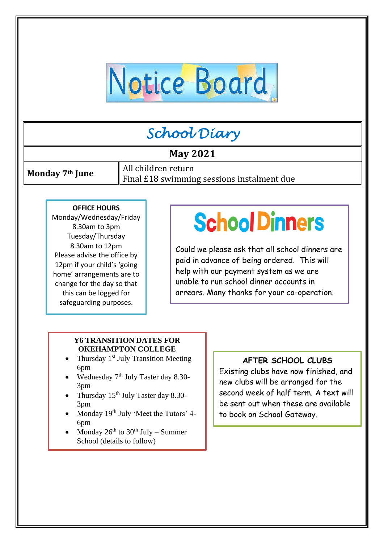# Notice Board

# *School Diary*

# **May 2021**

**Monday 7<sup>th</sup> June** All children return Final £18 swimming sessions instalment due

#### **OFFICE HOURS**

Monday/Wednesday/Friday 8.30am to 3pm Tuesday/Thursday 8.30am to 12pm Please advise the office by 12pm if your child's 'going home' arrangements are to change for the day so that this can be logged for safeguarding purposes.

# l l,  $\bf{)}$

 Could we please ask that all school dinners are paid in advance of being ordered. This will help with our payment system as we are unable to run school dinner accounts in arrears. Many thanks for your co-operation.

#### **Y6 TRANSITION DATES FOR OKEHAMPTON COLLEGE**

- Thursday  $1<sup>st</sup>$  July Transition Meeting 6pm
- Wednesday  $7<sup>th</sup>$  July Taster day 8.30-3pm
- Thursday  $15^{th}$  July Taster day 8.30-3pm
- Monday 19<sup>th</sup> July 'Meet the Tutors' 4-6pm
- Monday  $26^{th}$  to  $30^{th}$  July Summer School (details to follow)

#### **AFTER SCHOOL CLUBS**

Existing clubs have now finished, and new clubs will be arranged for the second week of half term. A text will be sent out when these are available to book on School Gateway.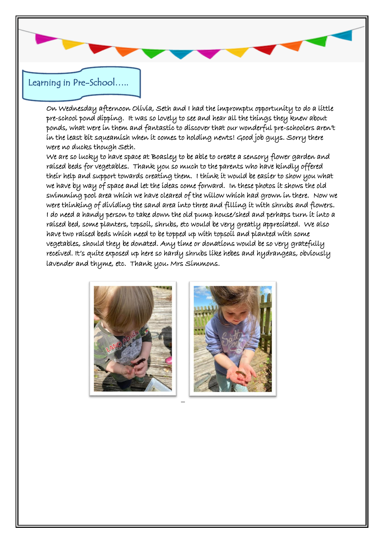# Learning in Pre-School…..

On Wednesday afternoon Olivia, Seth and I had the impromptu opportunity to do a little pre-school pond dipping. It was so lovely to see and hear all the things they knew about ponds, what were in them and fantastic to discover that our wonderful pre-schoolers aren't in the least bit squeamish when it comes to holding newts! Good job guys. Sorry there were no ducks though Seth.

We are so lucky to have space at Boasley to be able to create a sensory flower garden and raised beds for vegetables. Thank you so much to the parents who have kindly offered their help and support towards creating them. I think it would be easier to show you what we have by way of space and let the ideas come forward. In these photos it shows the old swimming pool area which we have cleared of the willow which had grown in there. Now we were thinking of dividing the sand area into three and filling it with shrubs and flowers. I do need a handy person to take down the old pump house/shed and perhaps turn it into a raised bed, some planters, topsoil, shrubs, etc would be very greatly appreciated. We also have two raised beds which need to be topped up with topsoil and planted with some vegetables, should they be donated. Any time or donations would be so very gratefully received. It's quite exposed up here so hardy shrubs like hebes and hydrangeas, obviously lavender and thyme, etc. Thank you**.** Mrs Simmons.



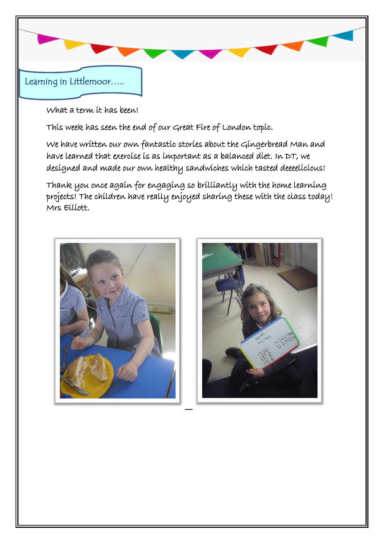

What a term it has been!

This week has seen the end of our Great Fire of London topic.

We have written our own fantastic stories about the Gingerbread Man and have learned that exercise is as important as a balanced diet. In DT, we designed and made our own healthy sandwiches which tasted deeeelicious!

Thank you once again for engaging so brilliantly with the home learning projects! The children have really enjoyed sharing these with the class today! Mrs Elliott.



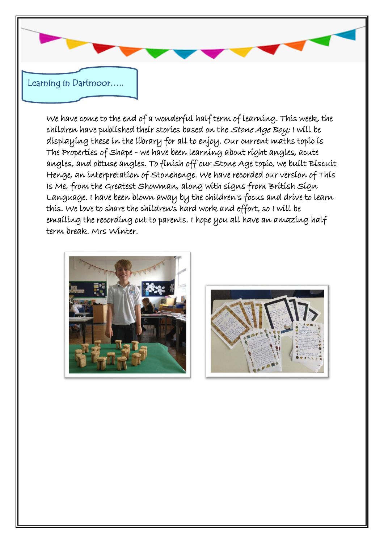

We have come to the end of a wonderful half term of learning. This week, the children have published their stories based on the Stone Age Boy; I will be displaying these in the library for all to enjoy. Our current maths topic is The Properties of Shape - we have been learning about right angles, acute angles, and obtuse angles. To finish off our Stone Age topic, we built Biscuit Henge, an interpretation of Stonehenge. We have recorded our version of This Is Me, from the Greatest Showman, along with signs from British Sign Language. I have been blown away by the children's focus and drive to learn this. We love to share the children's hard work and effort, so I will be emailing the recording out to parents. I hope you all have an amazing half term break. Mrs Winter.



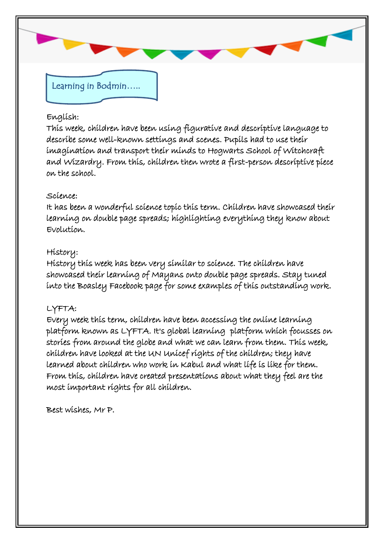

#### English:

This week, children have been using figurative and descriptive language to describe some well-known settings and scenes. Pupils had to use their imagination and transport their minds to Hogwarts School of Witchcraft and Wizardry. From this, children then wrote a first-person descriptive piece on the school.

### Science:

It has been a wonderful science topic this term. Children have showcased their learning on double page spreads; highlighting everything they know about Evolution.

# History:

History this week has been very similar to science. The children have showcased their learning of Mayans onto double page spreads. Stay tuned into the Boasley Facebook page for some examples of this outstanding work.

# LYFTA:

Every week this term, children have been accessing the online learning platform known as LYFTA. It's global learning platform which focusses on stories from around the globe and what we can learn from them. This week, children have looked at the UN Unicef rights of the children; they have learned about children who work in Kabul and what life is like for them. From this, children have created presentations about what they feel are the most important rights for all children.

Best wishes, Mr P.